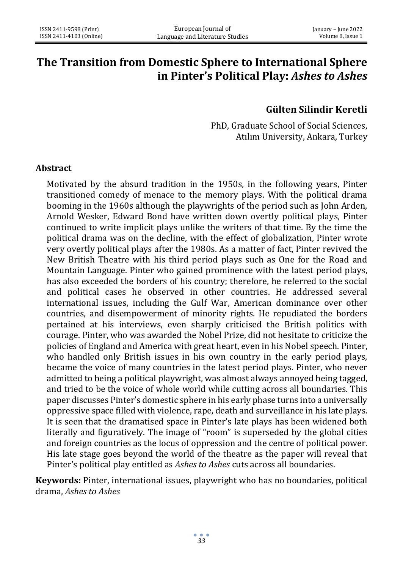# **The Transition from Domestic Sphere to International Sphere in Pinter's Political Play:** *Ashes to Ashes*

# **Gülten Silindir Keretli**

PhD, Graduate School of Social Sciences, Atılım University, Ankara, Turkey

#### **Abstract**

Motivated by the absurd tradition in the 1950s, in the following years, Pinter transitioned comedy of menace to the memory plays. With the political drama booming in the 1960s although the playwrights of the period such as John Arden, Arnold Wesker, Edward Bond have written down overtly political plays, Pinter continued to write implicit plays unlike the writers of that time. By the time the political drama was on the decline, with the effect of globalization, Pinter wrote very overtly political plays after the 1980s. As a matter of fact, Pinter revived the New British Theatre with his third period plays such as One for the Road and Mountain Language. Pinter who gained prominence with the latest period plays, has also exceeded the borders of his country; therefore, he referred to the social and political cases he observed in other countries. He addressed several international issues, including the Gulf War, American dominance over other countries, and disempowerment of minority rights. He repudiated the borders pertained at his interviews, even sharply criticised the British politics with courage. Pinter, who was awarded the Nobel Prize, did not hesitate to criticize the policies of England and America with great heart, even in his Nobel speech. Pinter, who handled only British issues in his own country in the early period plays, became the voice of many countries in the latest period plays. Pinter, who never admitted to being a political playwright, was almost always annoyed being tagged, and tried to be the voice of whole world while cutting across all boundaries. This paper discusses Pinter's domestic sphere in his early phase turns into a universally oppressive space filled with violence, rape, death and surveillance in his late plays. It is seen that the dramatised space in Pinter's late plays has been widened both literally and figuratively. The image of "room" is superseded by the global cities and foreign countries as the locus of oppression and the centre of political power. His late stage goes beyond the world of the theatre as the paper will reveal that Pinter's political play entitled as *Ashes to Ashes* cuts across all boundaries.

**Keywords:** Pinter, international issues, playwright who has no boundaries, political drama, *Ashes to Ashes*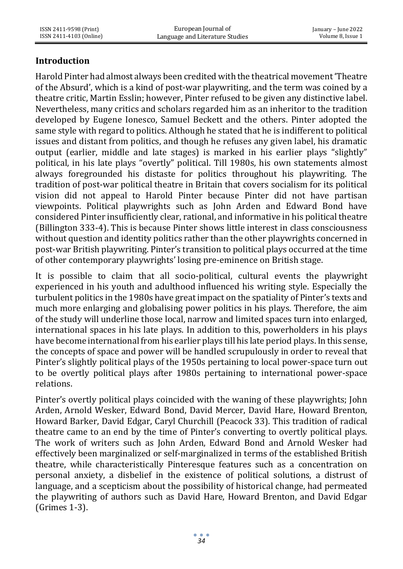# **Introduction**

Harold Pinter had almost always been credited with the theatrical movement 'Theatre of the Absurd', which is a kind of post-war playwriting, and the term was coined by a theatre critic, Martin Esslin; however, Pinter refused to be given any distinctive label. Nevertheless, many critics and scholars regarded him as an inheritor to the tradition developed by Eugene Ionesco, Samuel Beckett and the others. Pinter adopted the same style with regard to politics. Although he stated that he is indifferent to political issues and distant from politics, and though he refuses any given label, his dramatic output (earlier, middle and late stages) is marked in his earlier plays "slightly" political, in his late plays "overtly" political. Till 1980s, his own statements almost always foregrounded his distaste for politics throughout his playwriting. The tradition of post-war political theatre in Britain that covers socialism for its political vision did not appeal to Harold Pinter because Pinter did not have partisan viewpoints. Political playwrights such as John Arden and Edward Bond have considered Pinter insufficiently clear, rational, and informative in his political theatre (Billington 333-4). This is because Pinter shows little interest in class consciousness without question and identity politics rather than the other playwrights concerned in post-war British playwriting. Pinter's transition to political plays occurred at the time of other contemporary playwrights' losing pre-eminence on British stage.

It is possible to claim that all socio-political, cultural events the playwright experienced in his youth and adulthood influenced his writing style. Especially the turbulent politics in the 1980s have great impact on the spatiality of Pinter's texts and much more enlarging and globalising power politics in his plays. Therefore, the aim of the study will underline those local, narrow and limited spaces turn into enlarged, international spaces in his late plays. In addition to this, powerholders in his plays have become international from his earlier plays till his late period plays. In this sense, the concepts of space and power will be handled scrupulously in order to reveal that Pinter's slightly political plays of the 1950s pertaining to local power-space turn out to be overtly political plays after 1980s pertaining to international power-space relations.

Pinter's overtly political plays coincided with the waning of these playwrights; John Arden, Arnold Wesker, Edward Bond, David Mercer, David Hare, Howard Brenton, Howard Barker, David Edgar, Caryl Churchill (Peacock 33). This tradition of radical theatre came to an end by the time of Pinter's converting to overtly political plays. The work of writers such as John Arden, Edward Bond and Arnold Wesker had effectively been marginalized or self-marginalized in terms of the established British theatre, while characteristically Pinteresque features such as a concentration on personal anxiety, a disbelief in the existence of political solutions, a distrust of language, and a scepticism about the possibility of historical change, had permeated the playwriting of authors such as David Hare, Howard Brenton, and David Edgar (Grimes 1-3).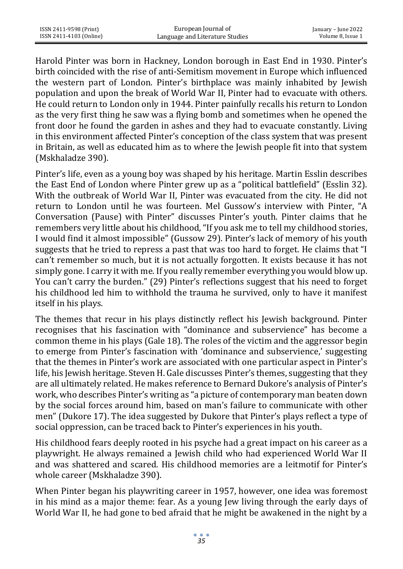Harold Pinter was born in Hackney, London borough in East End in 1930. Pinter's birth coincided with the rise of anti-Semitism movement in Europe which influenced the western part of London. Pinter's birthplace was mainly inhabited by Jewish population and upon the break of World War II, Pinter had to evacuate with others. He could return to London only in 1944. Pinter painfully recalls his return to London as the very first thing he saw was a flying bomb and sometimes when he opened the front door he found the garden in ashes and they had to evacuate constantly. Living in this environment affected Pinter's conception of the class system that was present in Britain, as well as educated him as to where the Jewish people fit into that system (Mskhaladze 390).

Pinter's life, even as a young boy was shaped by his heritage. Martin Esslin describes the East End of London where Pinter grew up as a "political battlefield" (Esslin 32). With the outbreak of World War II, Pinter was evacuated from the city. He did not return to London until he was fourteen. Mel Gussow's interview with Pinter, "A Conversation (Pause) with Pinter" discusses Pinter's youth. Pinter claims that he remembers very little about his childhood, "If you ask me to tell my childhood stories, I would find it almost impossible" (Gussow 29). Pinter's lack of memory of his youth suggests that he tried to repress a past that was too hard to forget. He claims that "I can't remember so much, but it is not actually forgotten. It exists because it has not simply gone. I carry it with me. If you really remember everything you would blow up. You can't carry the burden." (29) Pinter's reflections suggest that his need to forget his childhood led him to withhold the trauma he survived, only to have it manifest itself in his plays.

The themes that recur in his plays distinctly reflect his Jewish background. Pinter recognises that his fascination with "dominance and subservience" has become a common theme in his plays (Gale 18). The roles of the victim and the aggressor begin to emerge from Pinter's fascination with 'dominance and subservience,' suggesting that the themes in Pinter's work are associated with one particular aspect in Pinter's life, his Jewish heritage. Steven H. Gale discusses Pinter's themes, suggesting that they are all ultimately related. He makes reference to Bernard Dukore's analysis of Pinter's work, who describes Pinter's writing as "a picture of contemporary man beaten down by the social forces around him, based on man's failure to communicate with other men" (Dukore 17). The idea suggested by Dukore that Pinter's plays reflect a type of social oppression, can be traced back to Pinter's experiences in his youth.

His childhood fears deeply rooted in his psyche had a great impact on his career as a playwright. He always remained a Jewish child who had experienced World War II and was shattered and scared. His childhood memories are a leitmotif for Pinter's whole career (Mskhaladze 390).

When Pinter began his playwriting career in 1957, however, one idea was foremost in his mind as a major theme: fear. As a young Jew living through the early days of World War II, he had gone to bed afraid that he might be awakened in the night by a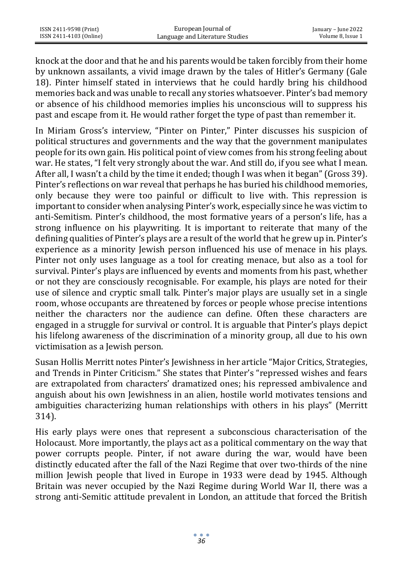knock at the door and that he and his parents would be taken forcibly from their home by unknown assailants, a vivid image drawn by the tales of Hitler's Germany (Gale 18). Pinter himself stated in interviews that he could hardly bring his childhood memories back and was unable to recall any stories whatsoever. Pinter's bad memory or absence of his childhood memories implies his unconscious will to suppress his past and escape from it. He would rather forget the type of past than remember it.

In Miriam Gross's interview, "Pinter on Pinter," Pinter discusses his suspicion of political structures and governments and the way that the government manipulates people for its own gain. His political point of view comes from his strong feeling about war. He states, "I felt very strongly about the war. And still do, if you see what I mean. After all, I wasn't a child by the time it ended; though I was when it began" (Gross 39). Pinter's reflections on war reveal that perhaps he has buried his childhood memories, only because they were too painful or difficult to live with. This repression is important to consider when analysing Pinter's work, especially since he was victim to anti-Semitism. Pinter's childhood, the most formative years of a person's life, has a strong influence on his playwriting. It is important to reiterate that many of the defining qualities of Pinter's plays are a result of the world that he grew up in. Pinter's experience as a minority Jewish person influenced his use of menace in his plays. Pinter not only uses language as a tool for creating menace, but also as a tool for survival. Pinter's plays are influenced by events and moments from his past, whether or not they are consciously recognisable. For example, his plays are noted for their use of silence and cryptic small talk. Pinter's major plays are usually set in a single room, whose occupants are threatened by forces or people whose precise intentions neither the characters nor the audience can define. Often these characters are engaged in a struggle for survival or control. It is arguable that Pinter's plays depict his lifelong awareness of the discrimination of a minority group, all due to his own victimisation as a Jewish person.

Susan Hollis Merritt notes Pinter's Jewishness in her article "Major Critics, Strategies, and Trends in Pinter Criticism." She states that Pinter's "repressed wishes and fears are extrapolated from characters' dramatized ones; his repressed ambivalence and anguish about his own Jewishness in an alien, hostile world motivates tensions and ambiguities characterizing human relationships with others in his plays" (Merritt 314).

His early plays were ones that represent a subconscious characterisation of the Holocaust. More importantly, the plays act as a political commentary on the way that power corrupts people. Pinter, if not aware during the war, would have been distinctly educated after the fall of the Nazi Regime that over two-thirds of the nine million Jewish people that lived in Europe in 1933 were dead by 1945. Although Britain was never occupied by the Nazi Regime during World War II, there was a strong anti-Semitic attitude prevalent in London, an attitude that forced the British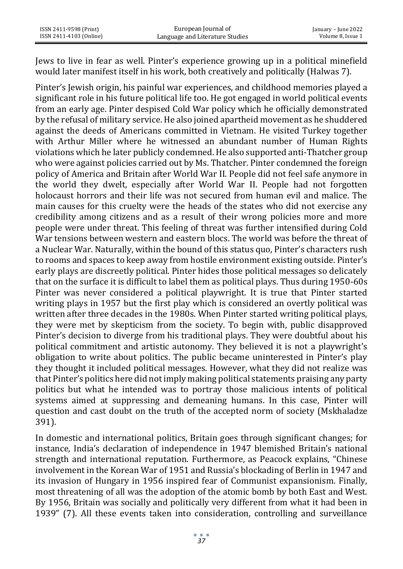Jews to live in fear as well. Pinter's experience growing up in a political minefield would later manifest itself in his work, both creatively and politically (Halwas 7).

Pinter's Jewish origin, his painful war experiences, and childhood memories played a significant role in his future political life too. He got engaged in world political events from an early age. Pinter despised Cold War policy which he officially demonstrated by the refusal of military service. He also joined apartheid movement as he shuddered against the deeds of Americans committed in Vietnam. He visited Turkey together with Arthur Miller where he witnessed an abundant number of Human Rights violations which he later publicly condemned. He also supported anti-Thatcher group who were against policies carried out by Ms. Thatcher. Pinter condemned the foreign policy of America and Britain after World War II. People did not feel safe anymore in the world they dwelt, especially after World War II. People had not forgotten holocaust horrors and their life was not secured from human evil and malice. The main causes for this cruelty were the heads of the states who did not exercise any credibility among citizens and as a result of their wrong policies more and more people were under threat. This feeling of threat was further intensified during Cold War tensions between western and eastern blocs. The world was before the threat of a Nuclear War. Naturally, within the bound of this status quo, Pinter's characters rush to rooms and spaces to keep away from hostile environment existing outside. Pinter's early plays are discreetly political. Pinter hides those political messages so delicately that on the surface it is difficult to label them as political plays. Thus during 1950-60s Pinter was never considered a political playwright. It is true that Pinter started writing plays in 1957 but the first play which is considered an overtly political was written after three decades in the 1980s. When Pinter started writing political plays, they were met by skepticism from the society. To begin with, public disapproved Pinter's decision to diverge from his traditional plays. They were doubtful about his political commitment and artistic autonomy. They believed it is not a playwright's obligation to write about politics. The public became uninterested in Pinter's play they thought it included political messages. However, what they did not realize was that Pinter's politics here did not imply making political statements praising any party politics but what he intended was to portray those malicious intents of political systems aimed at suppressing and demeaning humans. In this case, Pinter will question and cast doubt on the truth of the accepted norm of society (Mskhaladze 391).

In domestic and international politics, Britain goes through significant changes; for instance, India's declaration of independence in 1947 blemished Britain's national strength and international reputation. Furthermore, as Peacock explains, "Chinese involvement in the Korean War of 1951 and Russia's blockading of Berlin in 1947 and its invasion of Hungary in 1956 inspired fear of Communist expansionism. Finally, most threatening of all was the adoption of the atomic bomb by both East and West. By 1956, Britain was socially and politically very different from what it had been in 1939" (7). All these events taken into consideration, controlling and surveillance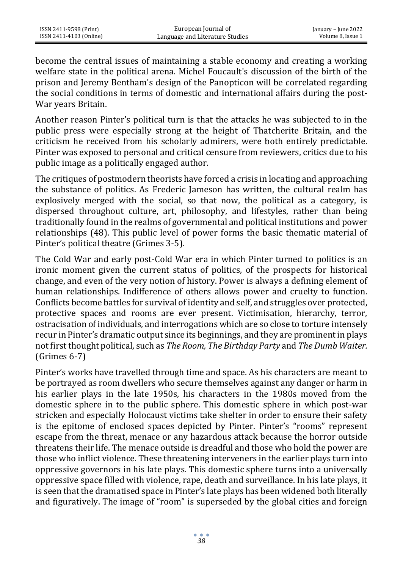become the central issues of maintaining a stable economy and creating a working welfare state in the political arena. Michel Foucault's discussion of the birth of the prison and Jeremy Bentham's design of the Panopticon will be correlated regarding the social conditions in terms of domestic and international affairs during the post-War years Britain.

Another reason Pinter's political turn is that the attacks he was subjected to in the public press were especially strong at the height of Thatcherite Britain, and the criticism he received from his scholarly admirers, were both entirely predictable. Pinter was exposed to personal and critical censure from reviewers, critics due to his public image as a politically engaged author.

The critiques of postmodern theorists have forced a crisis in locating and approaching the substance of politics. As Frederic Jameson has written, the cultural realm has explosively merged with the social, so that now, the political as a category, is dispersed throughout culture, art, philosophy, and lifestyles, rather than being traditionally found in the realms of governmental and political institutions and power relationships (48). This public level of power forms the basic thematic material of Pinter's political theatre (Grimes 3-5).

The Cold War and early post-Cold War era in which Pinter turned to politics is an ironic moment given the current status of politics, of the prospects for historical change, and even of the very notion of history. Power is always a defining element of human relationships. Indifference of others allows power and cruelty to function. Conflicts become battles for survival of identity and self, and struggles over protected, protective spaces and rooms are ever present. Victimisation, hierarchy, terror, ostracisation of individuals, and interrogations which are so close to torture intensely recur in Pinter's dramatic output since its beginnings, and they are prominent in plays not first thought political, such as *The Room, The Birthday Party* and *The Dumb Waiter.* (Grimes 6-7)

Pinter's works have travelled through time and space. As his characters are meant to be portrayed as room dwellers who secure themselves against any danger or harm in his earlier plays in the late 1950s, his characters in the 1980s moved from the domestic sphere in to the public sphere. This domestic sphere in which post-war stricken and especially Holocaust victims take shelter in order to ensure their safety is the epitome of enclosed spaces depicted by Pinter. Pinter's "rooms" represent escape from the threat, menace or any hazardous attack because the horror outside threatens their life. The menace outside is dreadful and those who hold the power are those who inflict violence. These threatening interveners in the earlier plays turn into oppressive governors in his late plays. This domestic sphere turns into a universally oppressive space filled with violence, rape, death and surveillance. In his late plays, it is seen that the dramatised space in Pinter's late plays has been widened both literally and figuratively. The image of "room" is superseded by the global cities and foreign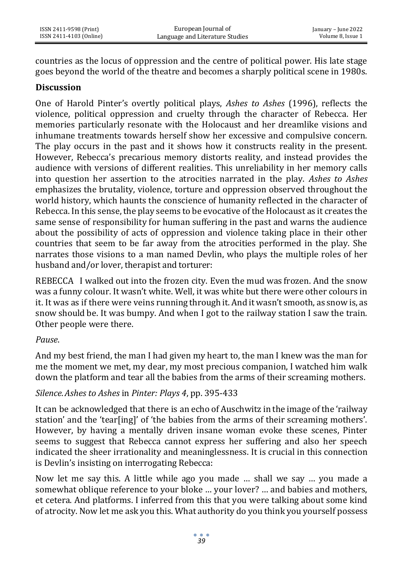countries as the locus of oppression and the centre of political power. His late stage goes beyond the world of the theatre and becomes a sharply political scene in 1980s.

#### **Discussion**

One of Harold Pinter's overtly political plays, *Ashes to Ashes* (1996), reflects the violence, political oppression and cruelty through the character of Rebecca. Her memories particularly resonate with the Holocaust and her dreamlike visions and inhumane treatments towards herself show her excessive and compulsive concern. The play occurs in the past and it shows how it constructs reality in the present. However, Rebecca's precarious memory distorts reality, and instead provides the audience with versions of different realities. This unreliability in her memory calls into question her assertion to the atrocities narrated in the play. *Ashes to Ashes*  emphasizes the brutality, violence, torture and oppression observed throughout the world history, which haunts the conscience of humanity reflected in the character of Rebecca. In this sense, the play seems to be evocative of the Holocaust as it creates the same sense of responsibility for human suffering in the past and warns the audience about the possibility of acts of oppression and violence taking place in their other countries that seem to be far away from the atrocities performed in the play. She narrates those visions to a man named Devlin, who plays the multiple roles of her husband and/or lover, therapist and torturer:

REBECCA I walked out into the frozen city. Even the mud was frozen. And the snow was a funny colour. It wasn't white. Well, it was white but there were other colours in it. It was as if there were veins running through it.And it wasn't smooth, as snow is, as snow should be. It was bumpy. And when I got to the railway station I saw the train. Other people were there.

#### *Pause*.

And my best friend, the man I had given my heart to, the man I knew was the man for me the moment we met, my dear, my most precious companion, I watched him walk down the platform and tear all the babies from the arms of their screaming mothers.

#### *Silence*.*Ashes to Ashes* in *Pinter: Plays 4*, pp. 395-433

It can be acknowledged that there is an echo of Auschwitz in the image of the 'railway station' and the 'tear[ing]' of 'the babies from the arms of their screaming mothers'. However, by having a mentally driven insane woman evoke these scenes, Pinter seems to suggest that Rebecca cannot express her suffering and also her speech indicated the sheer irrationality and meaninglessness. It is crucial in this connection is Devlin's insisting on interrogating Rebecca:

Now let me say this. A little while ago you made … shall we say … you made a somewhat oblique reference to your bloke … your lover? … and babies and mothers, et cetera. And platforms. I inferred from this that you were talking about some kind of atrocity. Now let me ask you this. What authority do you think you yourself possess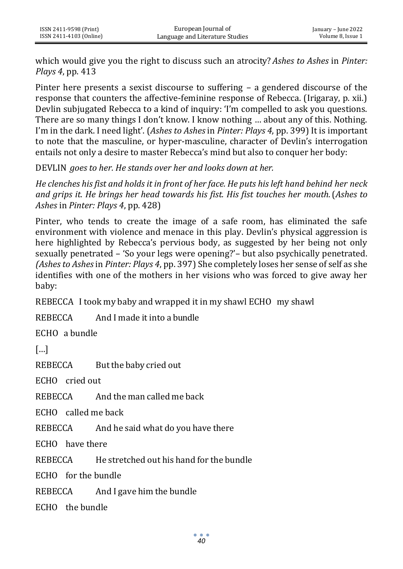which would give you the right to discuss such an atrocity? *Ashes to Ashes* in *Pinter: Plays 4*, pp. 413

Pinter here presents a sexist discourse to suffering – a gendered discourse of the response that counters the affective-feminine response of Rebecca. (Irigaray, p. xii.) Devlin subjugated Rebecca to a kind of inquiry: 'I'm compelled to ask you questions. There are so many things I don't know. I know nothing … about any of this. Nothing. I'm in the dark. I need light'. (*Ashes to Ashes* in *Pinter: Plays 4*, pp. 399) It is important to note that the masculine, or hyper-masculine, character of Devlin's interrogation entails not only a desire to master Rebecca's mind but also to conquer her body:

DEVLIN *goes to her. He stands over her and looks down at her.*

*He clenches his fist and holds it in front of her face. He puts his left hand behind her neck and grips it. He brings her head towards his fist. His fist touches her mouth*.(*Ashes to Ashes* in *Pinter: Plays 4*, pp. 428)

Pinter, who tends to create the image of a safe room, has eliminated the safe environment with violence and menace in this play. Devlin's physical aggression is here highlighted by Rebecca's pervious body, as suggested by her being not only sexually penetrated – 'So your legs were opening?'– but also psychically penetrated. *(Ashes to Ashes* in *Pinter: Plays 4*, pp. 397) She completely loses her sense of self as she identifies with one of the mothers in her visions who was forced to give away her baby:

REBECCA I took my baby and wrapped it in my shawl ECHO my shawl

REBECCA And I made it into a bundle

ECHO a bundle

[…]

REBECCA But the baby cried out

ECHO cried out

REBECCA And the man called me back

ECHO called me back

REBECCA And he said what do you have there

ECHO have there

REBECCA He stretched out his hand for the bundle

ECHO for the bundle

REBECCA And I gave him the bundle

ECHO the bundle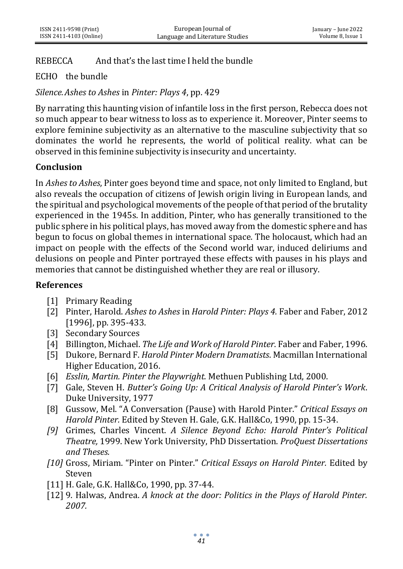# REBECCA And that's the last time I held the bundle

# ECHO the bundle

*Silence.Ashes to Ashes* in *Pinter: Plays 4*, pp. 429

By narrating this haunting vision of infantile loss in the first person, Rebecca does not so much appear to bear witness to loss as to experience it. Moreover, Pinter seems to explore feminine subjectivity as an alternative to the masculine subjectivity that so dominates the world he represents, the world of political reality. what can be observed in this feminine subjectivity is insecurity and uncertainty.

# **Conclusion**

In *Ashes to Ashes*, Pinter goes beyond time and space, not only limited to England, but also reveals the occupation of citizens of Jewish origin living in European lands, and the spiritual and psychological movements of the people of that period of the brutality experienced in the 1945s. In addition, Pinter, who has generally transitioned to the public sphere in his political plays, has moved away from the domestic sphere and has begun to focus on global themes in international space. The holocaust, which had an impact on people with the effects of the Second world war, induced deliriums and delusions on people and Pinter portrayed these effects with pauses in his plays and memories that cannot be distinguished whether they are real or illusory.

### **References**

- [1] Primary Reading
- [2] Pinter, Harold. *Ashes to Ashes* in *Harold Pinter: Plays 4.* Faber and Faber, 2012 [1996], pp. 395-433.
- [3] Secondary Sources
- [4] Billington, Michael. *The Life and Work of Harold Pinter*. Faber and Faber, 1996.
- [5] Dukore, Bernard F. *Harold Pinter Modern Dramatists*. Macmillan International Higher Education, 2016.
- [6] *Esslin, Martin. Pinter the Playwright.* Methuen Publishing Ltd, 2000.
- [7] Gale, Steven H. *Butter's Going Up: A Critical Analysis of Harold Pinter's Work*. Duke University, 1977
- [8] Gussow, Mel. "A Conversation (Pause) with Harold Pinter." *Critical Essays on Harold Pinter.* Edited by Steven H. Gale, G.K. Hall&Co, 1990, pp. 15-34.
- *[9]* Grimes, Charles Vincent. *A Silence Beyond Echo: Harold Pinter's Political Theatre,* 1999. New York University, PhD Dissertation. *ProQuest Dissertations and Theses.*
- *[10]* Gross, Miriam. "Pinter on Pinter." *Critical Essays on Harold Pinter.* Edited by Steven
- [11] H. Gale, G.K. Hall&Co, 1990, pp. 37-44.
- [12] 9. Halwas, Andrea. *A knock at the door: Politics in the Plays of Harold Pinter. 2007.*